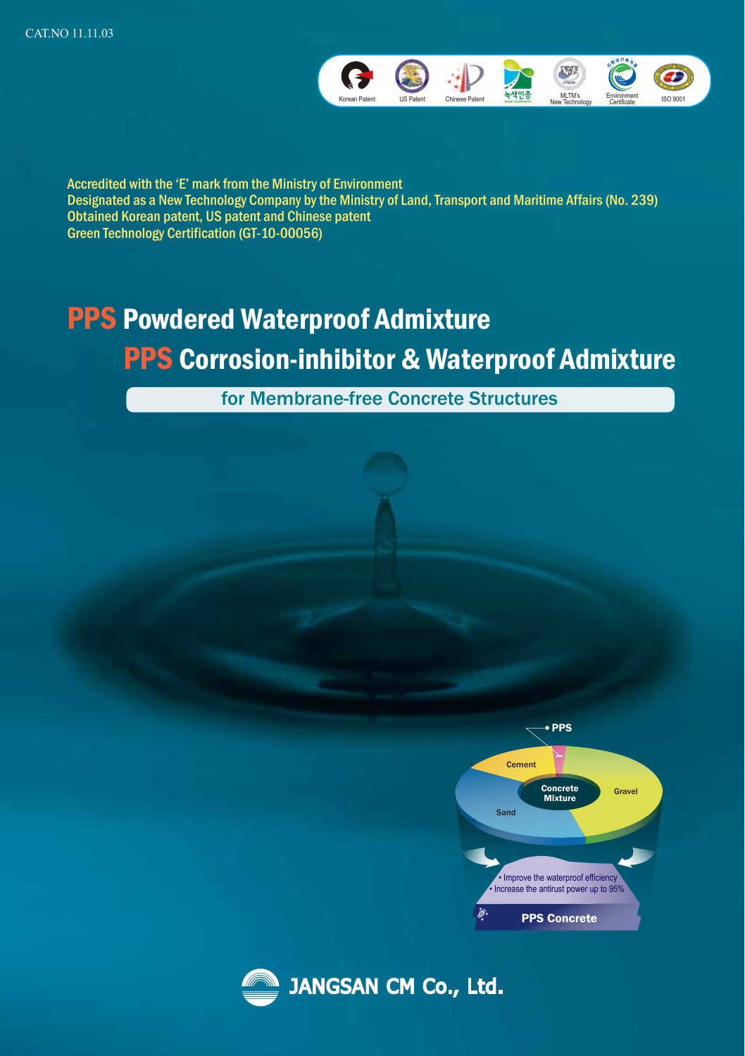

Accredited with the 'E' mark from the Ministry of Environment Designated as a New Technology Company by the Ministry of Land, Transport and Maritime Affairs (No. 239) Obtained Korean patent, US patent and Chinese patent Green Technology Certification (GT-10-00056)

# PPS Powdered Waterproof Admixture PPS Corrosion-inhibitor & Waterproof Admixture

for Membrane-free Concrete Structures



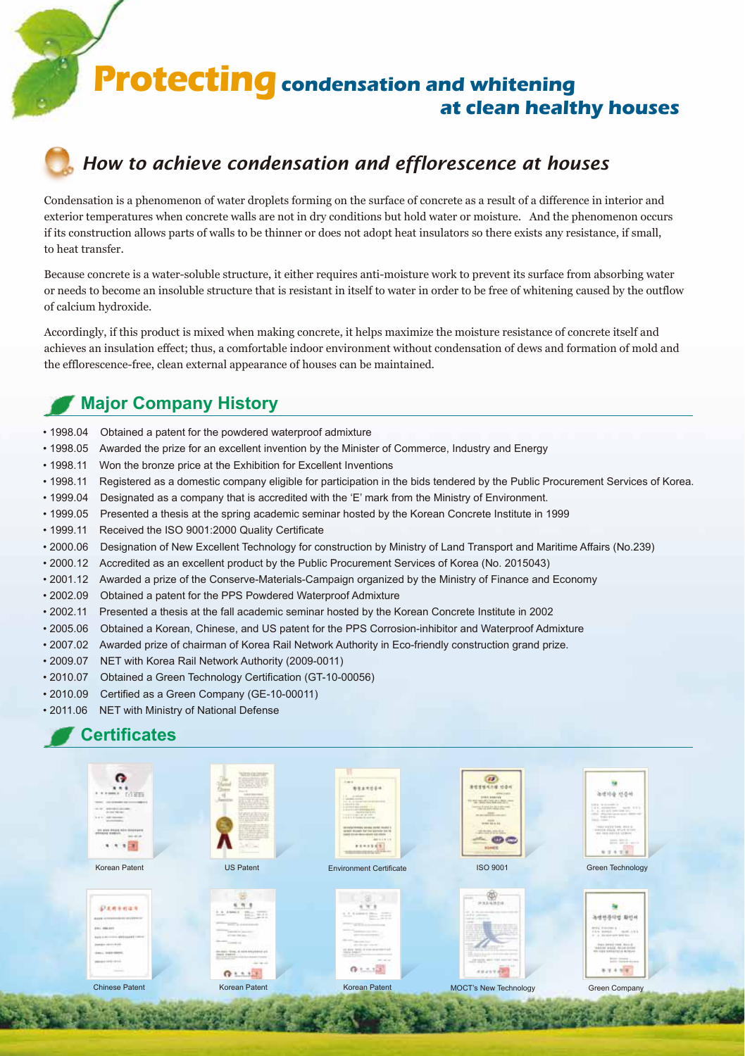**Protecting condensation and whitening at clean healthy houses**



# *How to achieve condensation and efflorescence at houses*

Condensation is a phenomenon of water droplets forming on the surface of concrete as a result of a difference in interior and exterior temperatures when concrete walls are not in dry conditions but hold water or moisture. And the phenomenon occurs if its construction allows parts of walls to be thinner or does not adopt heat insulators so there exists any resistance, if small, to heat transfer.

Because concrete is a water-soluble structure, it either requires anti-moisture work to prevent its surface from absorbing water or needs to become an insoluble structure that is resistant in itself to water in order to be free of whitening caused by the outflow of calcium hydroxide.

Accordingly, if this product is mixed when making concrete, it helps maximize the moisture resistance of concrete itself and achieves an insulation effect; thus, a comfortable indoor environment without condensation of dews and formation of mold and the efflorescence-free, clean external appearance of houses can be maintained.

### **Major Company History**

- 1998.04 Obtained a patent for the powdered waterproof admixture
- 1998.05 Awarded the prize for an excellent invention by the Minister of Commerce, Industry and Energy
- 1998.11 Won the bronze price at the Exhibition for Excellent Inventions
- 1998.11 Registered as a domestic company eligible for participation in the bids tendered by the Public Procurement Services of Korea.
- 1999.04 Designated as a company that is accredited with the 'E' mark from the Ministry of Environment.
- 1999.05 Presented a thesis at the spring academic seminar hosted by the Korean Concrete Institute in 1999
- 1999.11 Received the ISO 9001:2000 Quality Certificate
- 2000.06 Designation of New Excellent Technology for construction by Ministry of Land Transport and Maritime Affairs (No.239)
- 2000.12 Accredited as an excellent product by the Public Procurement Services of Korea (No. 2015043)
- 2001.12 Awarded a prize of the Conserve-Materials-Campaign organized by the Ministry of Finance and Economy
- 2002.09 Obtained a patent for the PPS Powdered Waterproof Admixture
- 2002.11 Presented a thesis at the fall academic seminar hosted by the Korean Concrete Institute in 2002
- 2005.06 Obtained a Korean, Chinese, and US patent for the PPS Corrosion-inhibitor and Waterproof Admixture
- 2007.02 Awarded prize of chairman of Korea Rail Network Authority in Eco-friendly construction grand prize.
- 2009.07 NET with Korea Rail Network Authority (2009-0011)
- 2010.07 Obtained a Green Technology Certification (GT-10-00056)
- 2010.09 Certified as a Green Company (GE-10-00011)
- 2011.06 NET with Ministry of National Defense

### **Certificates**

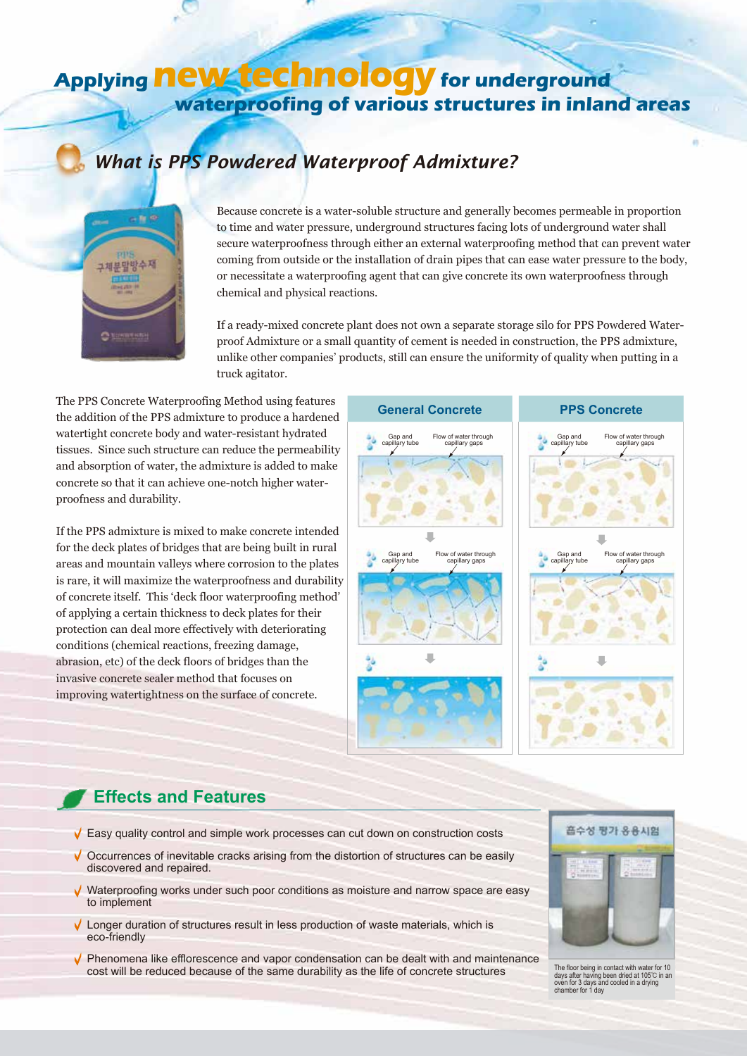# **Applying new technology for underground waterproofing of various structures in inland areas**

# *What is PPS Powdered Waterproof Admixture?*



Because concrete is a water-soluble structure and generally becomes permeable in proportion to time and water pressure, underground structures facing lots of underground water shall secure waterproofness through either an external waterproofing method that can prevent water coming from outside or the installation of drain pipes that can ease water pressure to the body, or necessitate a waterproofing agent that can give concrete its own waterproofness through chemical and physical reactions.

If a ready-mixed concrete plant does not own a separate storage silo for PPS Powdered Waterproof Admixture or a small quantity of cement is needed in construction, the PPS admixture, unlike other companies' products, still can ensure the uniformity of quality when putting in a truck agitator.

The PPS Concrete Waterproofing Method using features the addition of the PPS admixture to produce a hardened watertight concrete body and water-resistant hydrated tissues. Since such structure can reduce the permeability and absorption of water, the admixture is added to make concrete so that it can achieve one-notch higher waterproofness and durability.

If the PPS admixture is mixed to make concrete intended for the deck plates of bridges that are being built in rural areas and mountain valleys where corrosion to the plates is rare, it will maximize the waterproofness and durability of concrete itself. This 'deck floor waterproofing method' of applying a certain thickness to deck plates for their protection can deal more effectively with deteriorating conditions (chemical reactions, freezing damage, abrasion, etc) of the deck floors of bridges than the invasive concrete sealer method that focuses on improving watertightness on the surface of concrete.



### **Effects and Features**

- $\sqrt{\ }$  Easy quality control and simple work processes can cut down on construction costs
- $\sqrt{\phantom{a}}$  Occurrences of inevitable cracks arising from the distortion of structures can be easily discovered and repaired.
- Waterproofing works under such poor conditions as moisture and narrow space are easy to implement
- $\sqrt{\phantom{a}}$  Longer duration of structures result in less production of waste materials, which is eco-friendly
- $\sqrt{\phantom{a}}$  Phenomena like efflorescence and vapor condensation can be dealt with and maintenance cost will be reduced because of the same durability as the life of concrete structures



The floor being in contact with water for 10 days after having been dried at 105℃ in an oven for 3 days and cooled in a drying chamber for 1 day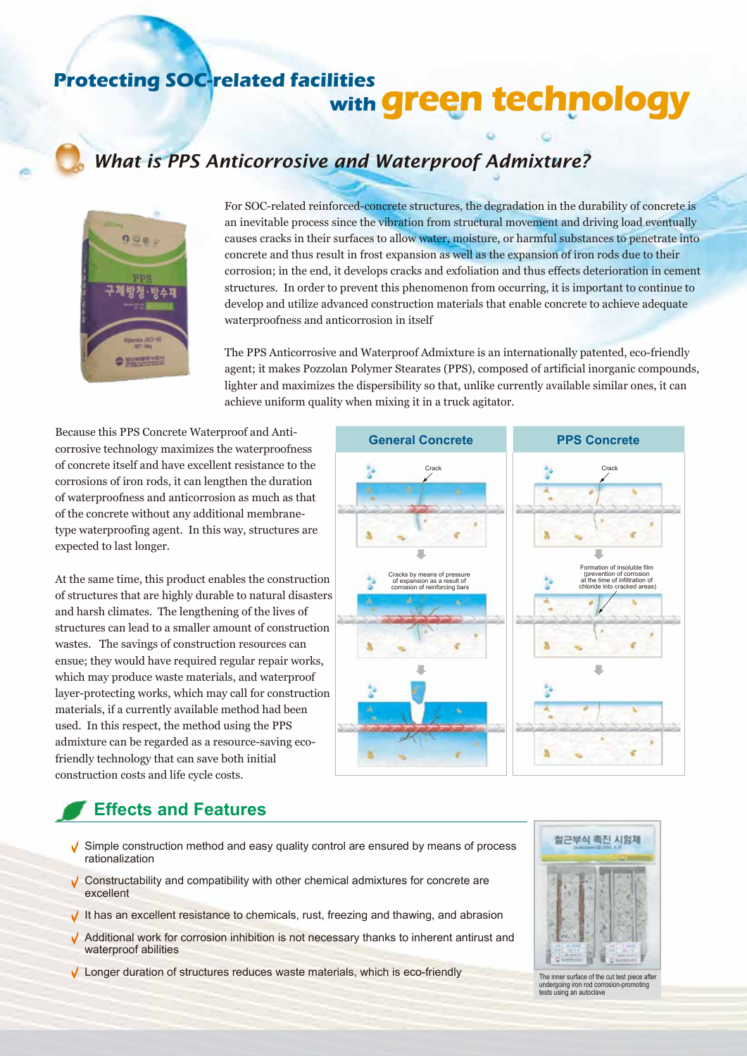# **Protecting SOC-related facilities with green technology**

# *What is PPS Anticorrosive and Waterproof Admixture?*



For SOC-related reinforced-concrete structures, the degradation in the durability of concrete is an inevitable process since the vibration from structural movement and driving load eventually causes cracks in their surfaces to allow water, moisture, or harmful substances to penetrate into concrete and thus result in frost expansion as well as the expansion of iron rods due to their corrosion; in the end, it develops cracks and exfoliation and thus effects deterioration in cement structures. In order to prevent this phenomenon from occurring, it is important to continue to develop and utilize advanced construction materials that enable concrete to achieve adequate waterproofness and anticorrosion in itself

The PPS Anticorrosive and Waterproof Admixture is an internationally patented, eco-friendly agent; it makes Pozzolan Polymer Stearates (PPS), composed of artificial inorganic compounds, lighter and maximizes the dispersibility so that, unlike currently available similar ones, it can achieve uniform quality when mixing it in a truck agitator.

Because this PPS Concrete Waterproof and Anticorrosive technology maximizes the waterproofness of concrete itself and have excellent resistance to the corrosions of iron rods, it can lengthen the duration of waterproofness and anticorrosion as much as that of the concrete without any additional membranetype waterproofing agent. In this way, structures are expected to last longer.

At the same time, this product enables the construction of structures that are highly durable to natural disasters and harsh climates. The lengthening of the lives of structures can lead to a smaller amount of construction wastes. The savings of construction resources can ensue; they would have required regular repair works, which may produce waste materials, and waterproof layer-protecting works, which may call for construction materials, if a currently available method had been used. In this respect, the method using the PPS admixture can be regarded as a resource-saving ecofriendly technology that can save both initial construction costs and life cycle costs.

# **Crack Crack** Formation of insoluble film Cracks by means of pressure (prevention of corrosion at the time of infiltration of chloride into cracked areas)of expansion as a result of corrosion of reinforcing bars s л s

**General Concrete PPS Concrete**

# **Effects and Features**

- $\sqrt{\ }$  Simple construction method and easy quality control are ensured by means of process rationalization
- $\sqrt{\ }$  Constructability and compatibility with other chemical admixtures for concrete are excellent
- It has an excellent resistance to chemicals, rust, freezing and thawing, and abrasion
- $\sqrt{\phantom{a}}$  Additional work for corrosion inhibition is not necessary thanks to inherent antirust and waterproof abilities
- ↓ Longer duration of structures reduces waste materials, which is eco-friendly



The inner surface of the cut test piece after undergoing iron rod corrosion-promoting tests using an autoclave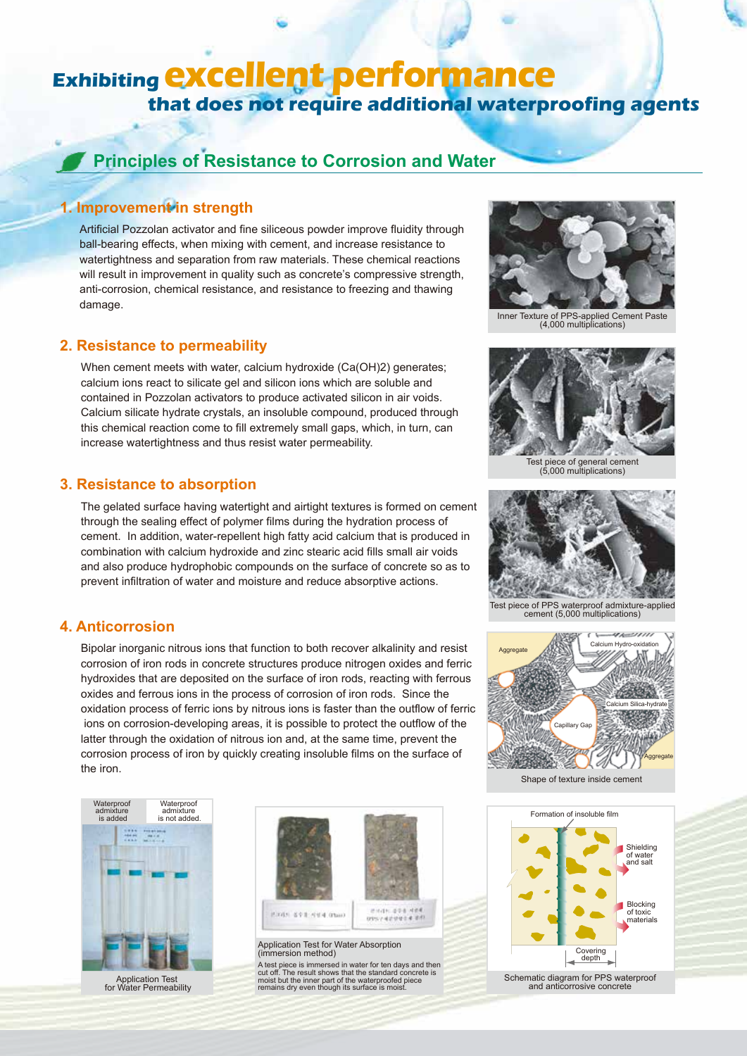# **Exhibiting excellent performance that does not require additional waterproofing agents**

### **Principles of Resistance to Corrosion and Water**

#### **1. Improvement in strength**

Artificial Pozzolan activator and fine siliceous powder improve fluidity through ball-bearing effects, when mixing with cement, and increase resistance to watertightness and separation from raw materials. These chemical reactions will result in improvement in quality such as concrete's compressive strength, anti-corrosion, chemical resistance, and resistance to freezing and thawing damage.

#### **2. Resistance to permeability**

When cement meets with water, calcium hydroxide (Ca(OH)2) generates; calcium ions react to silicate gel and silicon ions which are soluble and contained in Pozzolan activators to produce activated silicon in air voids. Calcium silicate hydrate crystals, an insoluble compound, produced through this chemical reaction come to fill extremely small gaps, which, in turn, can increase watertightness and thus resist water permeability.

#### **3. Resistance to absorption**

The gelated surface having watertight and airtight textures is formed on cement through the sealing effect of polymer films during the hydration process of cement. In addition, water-repellent high fatty acid calcium that is produced in combination with calcium hydroxide and zinc stearic acid fills small air voids and also produce hydrophobic compounds on the surface of concrete so as to prevent infiltration of water and moisture and reduce absorptive actions.

#### **4. Anticorrosion**

Bipolar inorganic nitrous ions that function to both recover alkalinity and resist corrosion of iron rods in concrete structures produce nitrogen oxides and ferric hydroxides that are deposited on the surface of iron rods, reacting with ferrous oxides and ferrous ions in the process of corrosion of iron rods. Since the oxidation process of ferric ions by nitrous ions is faster than the outflow of ferric ions on corrosion-developing areas, it is possible to protect the outflow of the latter through the oxidation of nitrous ion and, at the same time, prevent the corrosion process of iron by quickly creating insoluble films on the surface of the iron.



Application Test for Water Permeability



.<br>A test piece is immersed in water for ten days and then<br>cut off. The result shows that the standard concrete is The result shows that the standard concrete is moist but the inner part of the waterproofed piece remains dry even though its surface is moist.



Inner Texture of PPS-applied Cement Paste (4,000 multiplications)



Test piece of general cement (5,000 multiplications)



Test piece of PPS waterproof admixture-applied cement (5,000 multiplications)



Shane of texture inside cement

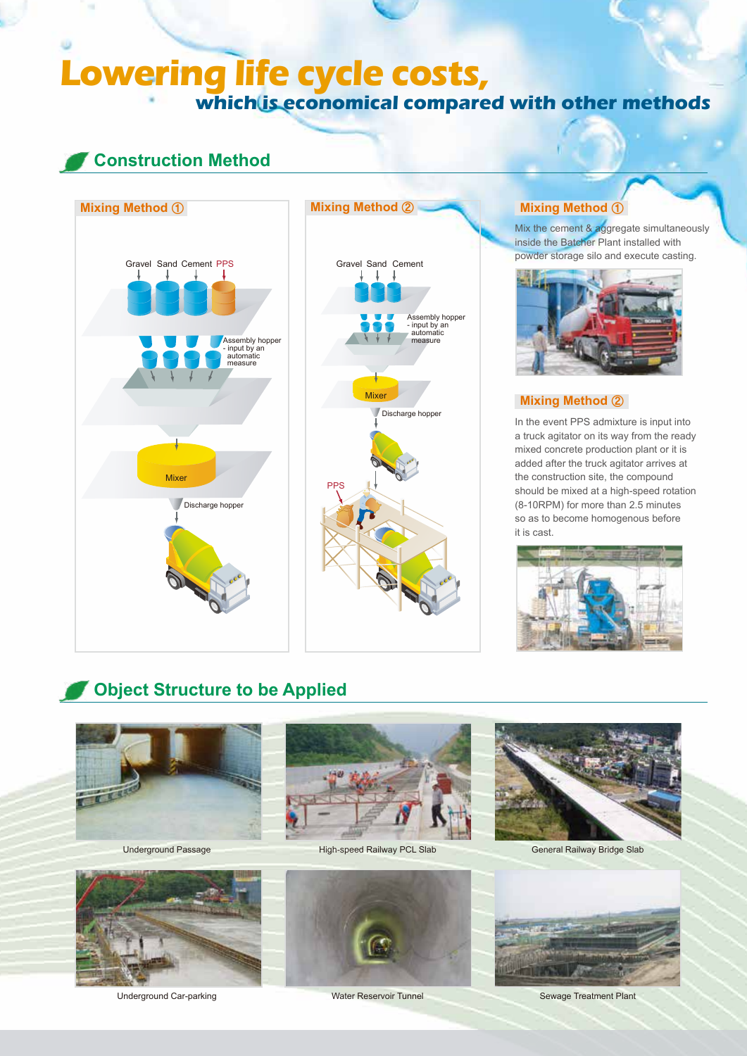# **Lowering life cycle costs, which is economical compared with other methods**

### **Construction Method**





Mix the cement & aggregate simultaneously inside the Batcher Plant installed with powder storage silo and execute casting.



#### **Mixing Method** ②

In the event PPS admixture is input into a truck agitator on its way from the ready mixed concrete production plant or it is added after the truck agitator arrives at the construction site, the compound should be mixed at a high-speed rotation (8-10RPM) for more than 2.5 minutes so as to become homogenous before it is cast.



# **Object Structure to be Applied**





Underground Passage **High-speed Railway PCL Slab** General Railway Bridge Slab





Underground Car-parking Water Reservoir Tunnel Sewage Treatment Plant



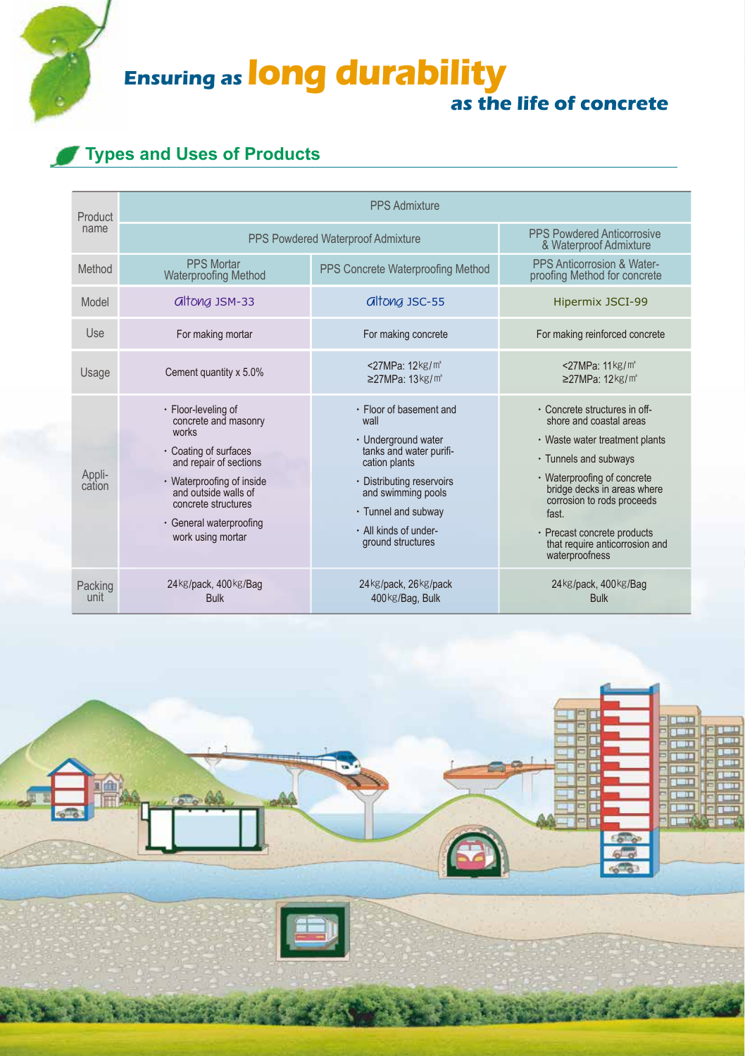**Ensuring as long durability** 

# **as the life of concrete**

# **Types and Uses of Products**

| Product<br>name  | <b>PPS Admixture</b>                                                                                                                                                                                                                |                                                                                                                                                                                                                            |                                                                                                                                                                                                                                                                                                             |
|------------------|-------------------------------------------------------------------------------------------------------------------------------------------------------------------------------------------------------------------------------------|----------------------------------------------------------------------------------------------------------------------------------------------------------------------------------------------------------------------------|-------------------------------------------------------------------------------------------------------------------------------------------------------------------------------------------------------------------------------------------------------------------------------------------------------------|
|                  | PPS Powdered Waterproof Admixture                                                                                                                                                                                                   |                                                                                                                                                                                                                            | <b>PPS Powdered Anticorrosive</b><br>& Waterproof Admixture                                                                                                                                                                                                                                                 |
| Method           | <b>PPS Mortar</b><br><b>Waterproofing Method</b>                                                                                                                                                                                    | PPS Concrete Waterproofing Method                                                                                                                                                                                          | PPS Anticorrosion & Water-<br>proofing Method for concrete                                                                                                                                                                                                                                                  |
| Model            | <b>altong JSM-33</b>                                                                                                                                                                                                                | <b>Gltong JSC-55</b>                                                                                                                                                                                                       | Hipermix JSCI-99                                                                                                                                                                                                                                                                                            |
| Use              | For making mortar                                                                                                                                                                                                                   | For making concrete                                                                                                                                                                                                        | For making reinforced concrete                                                                                                                                                                                                                                                                              |
| Usage            | Cement quantity x 5.0%                                                                                                                                                                                                              | <27MPa: 12kg/m <sup>3</sup><br>$\geq$ 27MPa: 13kg/m <sup>3</sup>                                                                                                                                                           | <27MPa: 11 kg/m <sup>3</sup><br>$\geq$ 27MPa: 12 kg/m <sup>3</sup>                                                                                                                                                                                                                                          |
| Appli-<br>cation | · Floor-leveling of<br>concrete and masonry<br>works<br>• Coating of surfaces<br>and repair of sections<br>· Waterproofing of inside<br>and outside walls of<br>concrete structures<br>· General waterproofing<br>work using mortar | · Floor of basement and<br>wall<br>· Underground water<br>tanks and water purifi-<br>cation plants<br>· Distributing reservoirs<br>and swimming pools<br>• Tunnel and subway<br>· All kinds of under-<br>ground structures | • Concrete structures in off-<br>shore and coastal areas<br>· Waste water treatment plants<br>• Tunnels and subways<br>• Waterproofing of concrete<br>bridge decks in areas where<br>corrosion to rods proceeds<br>fast.<br>· Precast concrete products<br>that require anticorrosion and<br>waterproofness |
| Packing<br>unit  | 24kg/pack, 400kg/Bag<br><b>Bulk</b>                                                                                                                                                                                                 | 24kg/pack, 26kg/pack<br>400kg/Bag, Bulk                                                                                                                                                                                    | 24kg/pack, 400kg/Bag<br><b>Bulk</b>                                                                                                                                                                                                                                                                         |